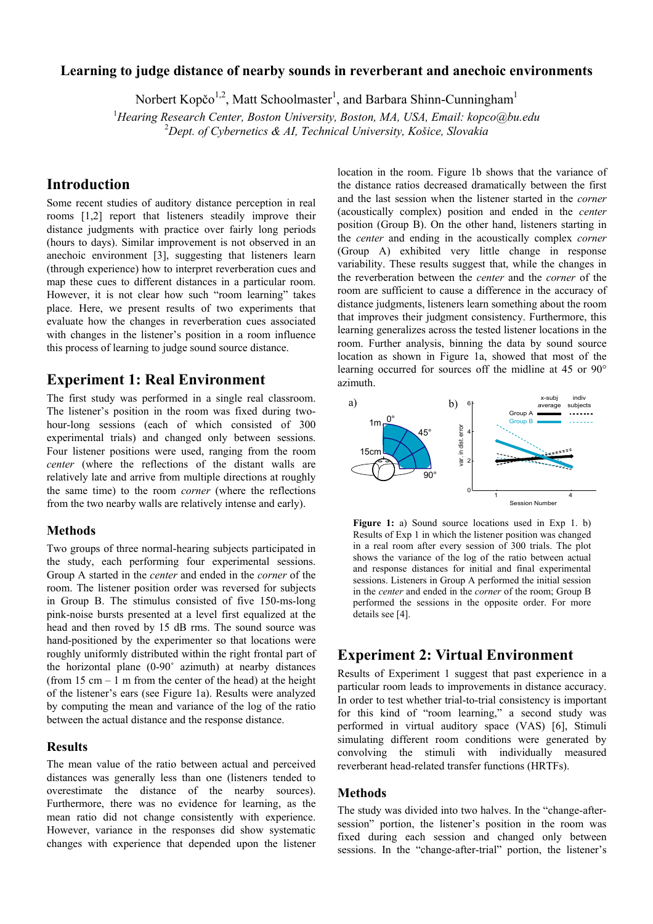## **Learning to judge distance of nearby sounds in reverberant and anechoic environments**

Norbert Kopčo<sup>1,2</sup>, Matt Schoolmaster<sup>1</sup>, and Barbara Shinn-Cunningham<sup>1</sup><br><sup>1</sup>Heaving Bassareh Center, Beston University Baster, MA, USA, Email: kopes@by

*Hearing Research Center, Boston University, Boston, MA, USA, Email: kopco@bu.edu*  2 *Dept. of Cybernetics & AI, Technical University, Košice, Slovakia* 

# **Introduction**

Some recent studies of auditory distance perception in real rooms [1,2] report that listeners steadily improve their distance judgments with practice over fairly long periods (hours to days). Similar improvement is not observed in an anechoic environment [3], suggesting that listeners learn (through experience) how to interpret reverberation cues and map these cues to different distances in a particular room. However, it is not clear how such "room learning" takes place. Here, we present results of two experiments that evaluate how the changes in reverberation cues associated with changes in the listener's position in a room influence this process of learning to judge sound source distance.

# **Experiment 1: Real Environment**

The first study was performed in a single real classroom. The listener's position in the room was fixed during twohour-long sessions (each of which consisted of 300 experimental trials) and changed only between sessions. Four listener positions were used, ranging from the room *center* (where the reflections of the distant walls are relatively late and arrive from multiple directions at roughly the same time) to the room *corner* (where the reflections from the two nearby walls are relatively intense and early).

## **Methods**

Two groups of three normal-hearing subjects participated in the study, each performing four experimental sessions. Group A started in the *center* and ended in the *corner* of the room. The listener position order was reversed for subjects in Group B. The stimulus consisted of five 150-ms-long pink-noise bursts presented at a level first equalized at the head and then roved by 15 dB rms. The sound source was hand-positioned by the experimenter so that locations were roughly uniformly distributed within the right frontal part of the horizontal plane (0-90˚ azimuth) at nearby distances (from  $15 \text{ cm} - 1 \text{ m}$  from the center of the head) at the height of the listener's ears (see Figure 1a). Results were analyzed by computing the mean and variance of the log of the ratio between the actual distance and the response distance.

## **Results**

The mean value of the ratio between actual and perceived distances was generally less than one (listeners tended to overestimate the distance of the nearby sources). Furthermore, there was no evidence for learning, as the mean ratio did not change consistently with experience. However, variance in the responses did show systematic changes with experience that depended upon the listener location in the room. Figure 1b shows that the variance of the distance ratios decreased dramatically between the first and the last session when the listener started in the *corner* (acoustically complex) position and ended in the *center* position (Group B). On the other hand, listeners starting in the *center* and ending in the acoustically complex *corner* (Group A) exhibited very little change in response variability. These results suggest that, while the changes in the reverberation between the *center* and the *corner* of the room are sufficient to cause a difference in the accuracy of distance judgments, listeners learn something about the room that improves their judgment consistency. Furthermore, this learning generalizes across the tested listener locations in the room. Further analysis, binning the data by sound source location as shown in Figure 1a, showed that most of the learning occurred for sources off the midline at 45 or 90° azimuth.



Figure 1: a) Sound source locations used in Exp 1. b) Results of Exp 1 in which the listener position was changed in a real room after every session of 300 trials. The plot shows the variance of the log of the ratio between actual and response distances for initial and final experimental sessions. Listeners in Group A performed the initial session in the *center* and ended in the *corner* of the room; Group B performed the sessions in the opposite order. For more details see [4].

## **Experiment 2: Virtual Environment**

Results of Experiment 1 suggest that past experience in a particular room leads to improvements in distance accuracy. In order to test whether trial-to-trial consistency is important for this kind of "room learning," a second study was performed in virtual auditory space (VAS) [6], Stimuli simulating different room conditions were generated by convolving the stimuli with individually measured reverberant head-related transfer functions (HRTFs).

## **Methods**

The study was divided into two halves. In the "change-aftersession" portion, the listener's position in the room was fixed during each session and changed only between sessions. In the "change-after-trial" portion, the listener's